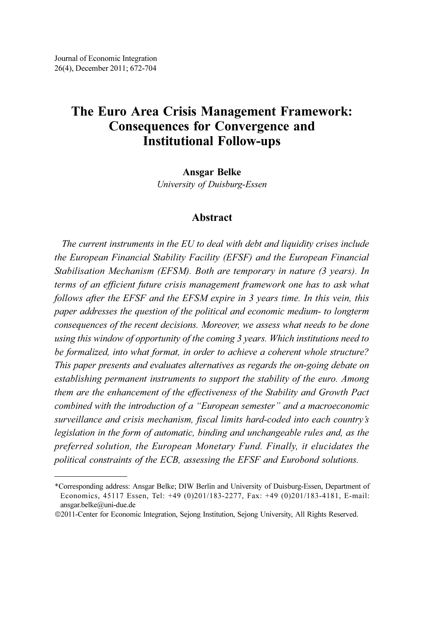# The Euro Area Crisis Management Framework: Consequences for Convergence and Institutional Follow-ups

**Ansgar Belke**<br>*University of Duisburg-Essen*  $U(x,y)$  of  $U(x,y)$ 

# Abstract

The current instruments in the EU to deal with debt and liquidity crises include the European Financial Stability Facility (EFSF) and the European Financial Stabilisation Mechanism (EFSM). Both are temporary in nature (3 years). In terms of an efficient future crisis management framework one has to ask what follows after the EFSF and the EFSM expire in 3 years time. In this vein, this paper addresses the question of the political and economic medium- to longterm consequences of the recent decisions. Moreover, we assess what needs to be done using this window of opportunity of the coming 3 years. Which institutions need to be formalized, into what format, in order to achieve a coherent whole structure? This paper presents and evaluates alternatives as regards the on-going debate on establishing permanent instruments to support the stability of the euro. Among them are the enhancement of the effectiveness of the Stability and Growth Pact combined with the introduction of a "European semester" and a macroeconomic surveillance and crisis mechanism, fiscal limits hard-coded into each country's legislation in the form of automatic, binding and unchangeable rules and, as the preferred solution, the European Monetary Fund. Finally, it elucidates the political constraints of the ECB, assessing the EFSF and Eurobond solutions.

<sup>\*</sup>Corresponding address: Ansgar Belke; DIW Berlin and University of Duisburg-Essen, Department of Economics, 45117 Essen, Tel: +49 (0)201/183-2277, Fax: +49 (0)201/183-4181, E-mail: ansgar.belke@uni-due.de

<sup>©</sup>2011-Center for Economic Integration, Sejong Institution, Sejong University, All Rights Reserved.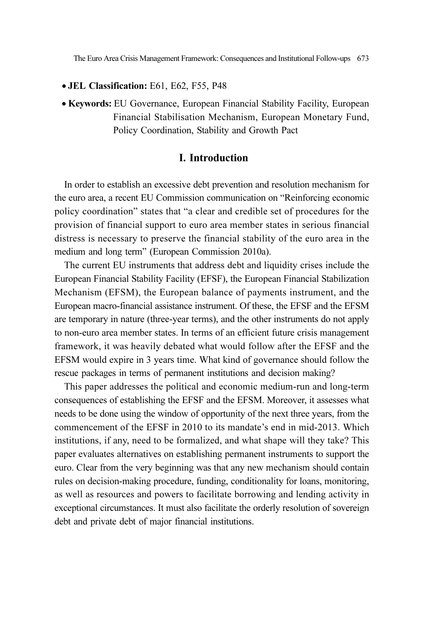The Euro Area Crisis Management Framework: Consequences and Institutional Follow-ups 673

# • JEL Classification: E61, E62, F55, P48

• Keywords: EU Governance, European Financial Stability Facility, European Financial Stabilisation Mechanism, European Monetary Fund, Policy Coordination, Stability and Growth Pact

# I. Introduction

In order to establish an excessive debt prevention and resolution mechanism for the euro area, a recent EU Commission communication on "Reinforcing economic policy coordination" states that "a clear and credible set of procedures for the provision of financial support to euro area member states in serious financial distress is necessary to preserve the financial stability of the euro area in the medium and long term" (European Commission 2010a).

The current EU instruments that address debt and liquidity crises include the European Financial Stability Facility (EFSF), the European Financial Stabilization Mechanism (EFSM), the European balance of payments instrument, and the European macro-financial assistance instrument. Of these, the EFSF and the EFSM are temporary in nature (three-year terms), and the other instruments do not apply to non-euro area member states. In terms of an efficient future crisis management framework, it was heavily debated what would follow after the EFSF and the EFSM would expire in 3 years time. What kind of governance should follow the rescue packages in terms of permanent institutions and decision making?

This paper addresses the political and economic medium-run and long-term consequences of establishing the EFSF and the EFSM. Moreover, it assesses what needs to be done using the window of opportunity of the next three years, from the commencement of the EFSF in 2010 to its mandate's end in mid-2013. Which institutions, if any, need to be formalized, and what shape will they take? This paper evaluates alternatives on establishing permanent instruments to support the euro. Clear from the very beginning was that any new mechanism should contain rules on decision-making procedure, funding, conditionality for loans, monitoring, as well as resources and powers to facilitate borrowing and lending activity in exceptional circumstances. It must also facilitate the orderly resolution of sovereign debt and private debt of major financial institutions.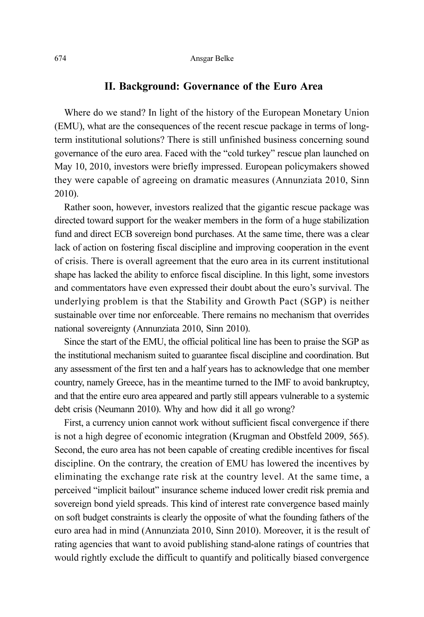## II. Background: Governance of the Euro Area

Where do we stand? In light of the history of the European Monetary Union (EMU), what are the consequences of the recent rescue package in terms of longterm institutional solutions? There is still unfinished business concerning sound governance of the euro area. Faced with the "cold turkey" rescue plan launched on May 10, 2010, investors were briefly impressed. European policymakers showed they were capable of agreeing on dramatic measures (Annunziata 2010, Sinn 2010).

Rather soon, however, investors realized that the gigantic rescue package was directed toward support for the weaker members in the form of a huge stabilization fund and direct ECB sovereign bond purchases. At the same time, there was a clear lack of action on fostering fiscal discipline and improving cooperation in the event of crisis. There is overall agreement that the euro area in its current institutional shape has lacked the ability to enforce fiscal discipline. In this light, some investors and commentators have even expressed their doubt about the euro's survival. The underlying problem is that the Stability and Growth Pact (SGP) is neither sustainable over time nor enforceable. There remains no mechanism that overrides national sovereignty (Annunziata 2010, Sinn 2010).

Since the start of the EMU, the official political line has been to praise the SGP as the institutional mechanism suited to guarantee fiscal discipline and coordination. But any assessment of the first ten and a half years has to acknowledge that one member country, namely Greece, has in the meantime turned to the IMF to avoid bankruptcy, and that the entire euro area appeared and partly still appears vulnerable to a systemic debt crisis (Neumann 2010). Why and how did it all go wrong?

First, a currency union cannot work without sufficient fiscal convergence if there is not a high degree of economic integration (Krugman and Obstfeld 2009, 565). Second, the euro area has not been capable of creating credible incentives for fiscal discipline. On the contrary, the creation of EMU has lowered the incentives by eliminating the exchange rate risk at the country level. At the same time, a perceived "implicit bailout" insurance scheme induced lower credit risk premia and sovereign bond yield spreads. This kind of interest rate convergence based mainly on soft budget constraints is clearly the opposite of what the founding fathers of the euro area had in mind (Annunziata 2010, Sinn 2010). Moreover, it is the result of rating agencies that want to avoid publishing stand-alone ratings of countries that would rightly exclude the difficult to quantify and politically biased convergence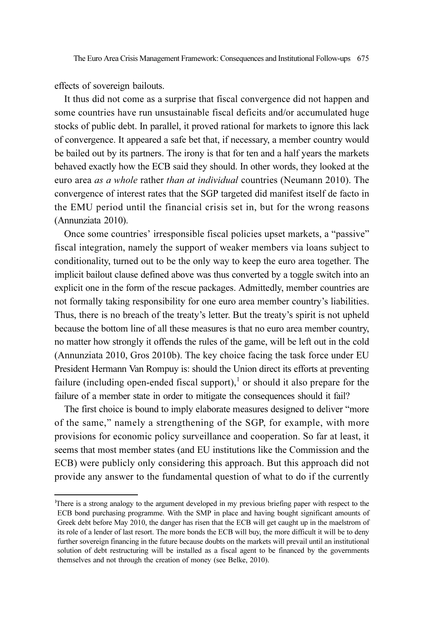effects of sovereign bailouts.

It thus did not come as a surprise that fiscal convergence did not happen and some countries have run unsustainable fiscal deficits and/or accumulated huge stocks of public debt. In parallel, it proved rational for markets to ignore this lack of convergence. It appeared a safe bet that, if necessary, a member country would be bailed out by its partners. The irony is that for ten and a half years the markets behaved exactly how the ECB said they should. In other words, they looked at the euro area as a whole rather than at individual countries (Neumann 2010). The convergence of interest rates that the SGP targeted did manifest itself de facto in the EMU period until the financial crisis set in, but for the wrong reasons (Annunziata 2010).

Once some countries' irresponsible fiscal policies upset markets, a "passive" fiscal integration, namely the support of weaker members via loans subject to conditionality, turned out to be the only way to keep the euro area together. The implicit bailout clause defined above was thus converted by a toggle switch into an explicit one in the form of the rescue packages. Admittedly, member countries are not formally taking responsibility for one euro area member country's liabilities. Thus, there is no breach of the treaty's letter. But the treaty's spirit is not upheld because the bottom line of all these measures is that no euro area member country, no matter how strongly it offends the rules of the game, will be left out in the cold (Annunziata 2010, Gros 2010b). The key choice facing the task force under EU President Hermann Van Rompuy is: should the Union direct its efforts at preventing failure (including open-ended fiscal support),<sup>1</sup> or should it also prepare for the failure of a member state in order to mitigate the consequences should it fail?

The first choice is bound to imply elaborate measures designed to deliver "more of the same," namely a strengthening of the SGP, for example, with more provisions for economic policy surveillance and cooperation. So far at least, it seems that most member states (and EU institutions like the Commission and the ECB) were publicly only considering this approach. But this approach did not provide any answer to the fundamental question of what to do if the currently

<sup>&</sup>lt;sup>1</sup>There is a strong analogy to the argument developed in my previous briefing paper with respect to the ECB bond purchasing programme. With the SMP in place and having bought significant amounts of Greek debt before May 2010, the danger has risen that the ECB will get caught up in the maelstrom of its role of a lender of last resort. The more bonds the ECB will buy, the more difficult it will be to deny further sovereign financing in the future because doubts on the markets will prevail until an institutional solution of debt restructuring will be installed as a fiscal agent to be financed by the governments themselves and not through the creation of money (see Belke, 2010).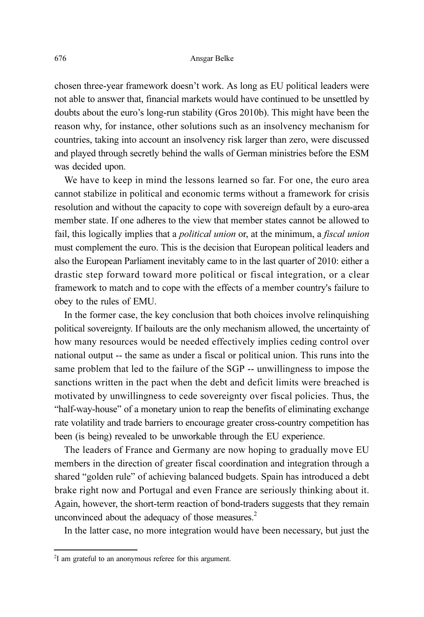chosen three-year framework doesn't work. As long as EU political leaders were not able to answer that, financial markets would have continued to be unsettled by doubts about the euro's long-run stability (Gros 2010b). This might have been the reason why, for instance, other solutions such as an insolvency mechanism for countries, taking into account an insolvency risk larger than zero, were discussed and played through secretly behind the walls of German ministries before the ESM was decided upon.

We have to keep in mind the lessons learned so far. For one, the euro area cannot stabilize in political and economic terms without a framework for crisis resolution and without the capacity to cope with sovereign default by a euro-area member state. If one adheres to the view that member states cannot be allowed to fail, this logically implies that a *political union* or, at the minimum, a *fiscal union* must complement the euro. This is the decision that European political leaders and also the European Parliament inevitably came to in the last quarter of 2010: either a drastic step forward toward more political or fiscal integration, or a clear framework to match and to cope with the effects of a member country's failure to obey to the rules of EMU.

In the former case, the key conclusion that both choices involve relinquishing political sovereignty. If bailouts are the only mechanism allowed, the uncertainty of how many resources would be needed effectively implies ceding control over national output -- the same as under a fiscal or political union. This runs into the same problem that led to the failure of the SGP -- unwillingness to impose the sanctions written in the pact when the debt and deficit limits were breached is motivated by unwillingness to cede sovereignty over fiscal policies. Thus, the "half-way-house" of a monetary union to reap the benefits of eliminating exchange rate volatility and trade barriers to encourage greater cross-country competition has been (is being) revealed to be unworkable through the EU experience.

The leaders of France and Germany are now hoping to gradually move EU members in the direction of greater fiscal coordination and integration through a shared "golden rule" of achieving balanced budgets. Spain has introduced a debt brake right now and Portugal and even France are seriously thinking about it. Again, however, the short-term reaction of bond-traders suggests that they remain unconvinced about the adequacy of those measures.<sup>2</sup>

In the latter case, no more integration would have been necessary, but just the

<sup>&</sup>lt;sup>2</sup>I am grateful to an anonymous referee for this argument.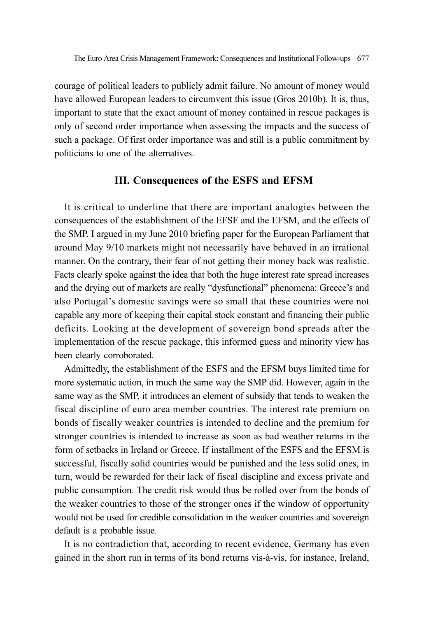courage of political leaders to publicly admit failure. No amount of money would have allowed European leaders to circumvent this issue (Gros 2010b). It is, thus, important to state that the exact amount of money contained in rescue packages is only of second order importance when assessing the impacts and the success of such a package. Of first order importance was and still is a public commitment by politicians to one of the alternatives.

## III. Consequences of the ESFS and EFSM

It is critical to underline that there are important analogies between the consequences of the establishment of the EFSF and the EFSM, and the effects of the SMP. I argued in my June 2010 briefing paper for the European Parliament that around May 9/10 markets might not necessarily have behaved in an irrational manner. On the contrary, their fear of not getting their money back was realistic. Facts clearly spoke against the idea that both the huge interest rate spread increases and the drying out of markets are really "dysfunctional" phenomena: Greece's and also Portugal's domestic savings were so small that these countries were not capable any more of keeping their capital stock constant and financing their public deficits. Looking at the development of sovereign bond spreads after the implementation of the rescue package, this informed guess and minority view has been clearly corroborated.

Admittedly, the establishment of the ESFS and the EFSM buys limited time for more systematic action, in much the same way the SMP did. However, again in the same way as the SMP, it introduces an element of subsidy that tends to weaken the fiscal discipline of euro area member countries. The interest rate premium on bonds of fiscally weaker countries is intended to decline and the premium for stronger countries is intended to increase as soon as bad weather returns in the form of setbacks in Ireland or Greece. If installment of the ESFS and the EFSM is successful, fiscally solid countries would be punished and the less solid ones, in turn, would be rewarded for their lack of fiscal discipline and excess private and public consumption. The credit risk would thus be rolled over from the bonds of the weaker countries to those of the stronger ones if the window of opportunity would not be used for credible consolidation in the weaker countries and sovereign default is a probable issue.

It is no contradiction that, according to recent evidence, Germany has even gained in the short run in terms of its bond returns vis-à-vis, for instance, Ireland,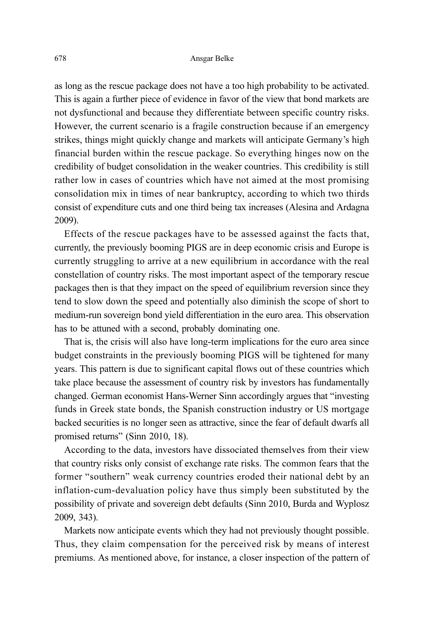as long as the rescue package does not have a too high probability to be activated. This is again a further piece of evidence in favor of the view that bond markets are not dysfunctional and because they differentiate between specific country risks. However, the current scenario is a fragile construction because if an emergency strikes, things might quickly change and markets will anticipate Germany's high financial burden within the rescue package. So everything hinges now on the credibility of budget consolidation in the weaker countries. This credibility is still rather low in cases of countries which have not aimed at the most promising consolidation mix in times of near bankruptcy, according to which two thirds consist of expenditure cuts and one third being tax increases (Alesina and Ardagna 2009).

Effects of the rescue packages have to be assessed against the facts that, currently, the previously booming PIGS are in deep economic crisis and Europe is currently struggling to arrive at a new equilibrium in accordance with the real constellation of country risks. The most important aspect of the temporary rescue packages then is that they impact on the speed of equilibrium reversion since they tend to slow down the speed and potentially also diminish the scope of short to medium-run sovereign bond yield differentiation in the euro area. This observation has to be attuned with a second, probably dominating one.

That is, the crisis will also have long-term implications for the euro area since budget constraints in the previously booming PIGS will be tightened for many years. This pattern is due to significant capital flows out of these countries which take place because the assessment of country risk by investors has fundamentally changed. German economist Hans-Werner Sinn accordingly argues that "investing funds in Greek state bonds, the Spanish construction industry or US mortgage backed securities is no longer seen as attractive, since the fear of default dwarfs all promised returns" (Sinn 2010, 18).

According to the data, investors have dissociated themselves from their view that country risks only consist of exchange rate risks. The common fears that the former "southern" weak currency countries eroded their national debt by an inflation-cum-devaluation policy have thus simply been substituted by the possibility of private and sovereign debt defaults (Sinn 2010, Burda and Wyplosz 2009, 343).

Markets now anticipate events which they had not previously thought possible. Thus, they claim compensation for the perceived risk by means of interest premiums. As mentioned above, for instance, a closer inspection of the pattern of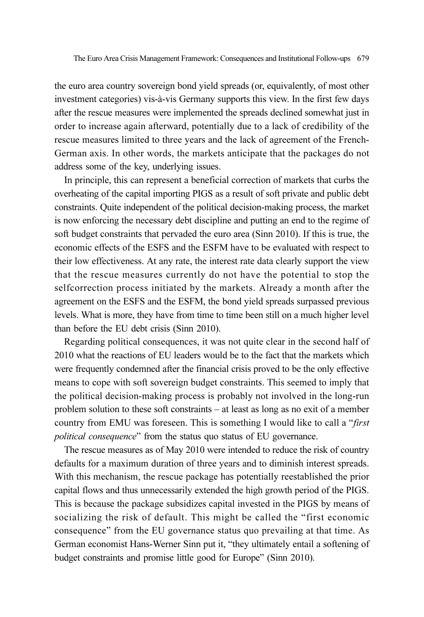the euro area country sovereign bond yield spreads (or, equivalently, of most other investment categories) vis-à-vis Germany supports this view. In the first few days after the rescue measures were implemented the spreads declined somewhat just in order to increase again afterward, potentially due to a lack of credibility of the rescue measures limited to three years and the lack of agreement of the French-German axis. In other words, the markets anticipate that the packages do not address some of the key, underlying issues.

In principle, this can represent a beneficial correction of markets that curbs the overheating of the capital importing PIGS as a result of soft private and public debt constraints. Quite independent of the political decision-making process, the market is now enforcing the necessary debt discipline and putting an end to the regime of soft budget constraints that pervaded the euro area (Sinn 2010). If this is true, the economic effects of the ESFS and the ESFM have to be evaluated with respect to their low effectiveness. At any rate, the interest rate data clearly support the view that the rescue measures currently do not have the potential to stop the selfcorrection process initiated by the markets. Already a month after the agreement on the ESFS and the ESFM, the bond yield spreads surpassed previous levels. What is more, they have from time to time been still on a much higher level than before the EU debt crisis (Sinn 2010).

Regarding political consequences, it was not quite clear in the second half of 2010 what the reactions of EU leaders would be to the fact that the markets which were frequently condemned after the financial crisis proved to be the only effective means to cope with soft sovereign budget constraints. This seemed to imply that the political decision-making process is probably not involved in the long-run problem solution to these soft constraints – at least as long as no exit of a member country from EMU was foreseen. This is something I would like to call a "first political consequence" from the status quo status of EU governance.

The rescue measures as of May 2010 were intended to reduce the risk of country defaults for a maximum duration of three years and to diminish interest spreads. With this mechanism, the rescue package has potentially reestablished the prior capital flows and thus unnecessarily extended the high growth period of the PIGS. This is because the package subsidizes capital invested in the PIGS by means of socializing the risk of default. This might be called the "first economic consequence" from the EU governance status quo prevailing at that time. As German economist Hans-Werner Sinn put it, "they ultimately entail a softening of budget constraints and promise little good for Europe" (Sinn 2010).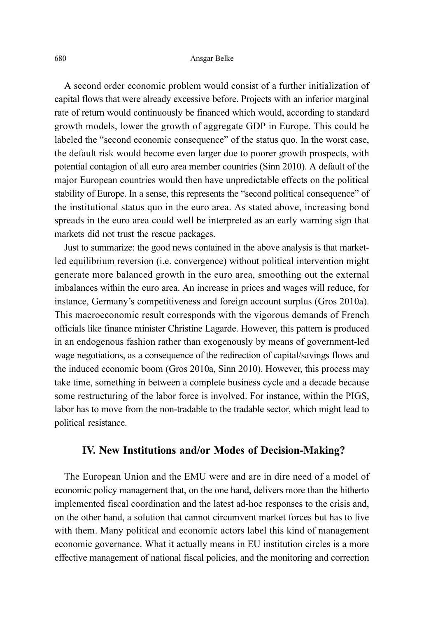A second order economic problem would consist of a further initialization of capital flows that were already excessive before. Projects with an inferior marginal rate of return would continuously be financed which would, according to standard growth models, lower the growth of aggregate GDP in Europe. This could be labeled the "second economic consequence" of the status quo. In the worst case, the default risk would become even larger due to poorer growth prospects, with potential contagion of all euro area member countries (Sinn 2010). A default of the major European countries would then have unpredictable effects on the political stability of Europe. In a sense, this represents the "second political consequence" of the institutional status quo in the euro area. As stated above, increasing bond spreads in the euro area could well be interpreted as an early warning sign that markets did not trust the rescue packages.

Just to summarize: the good news contained in the above analysis is that marketled equilibrium reversion (i.e. convergence) without political intervention might generate more balanced growth in the euro area, smoothing out the external imbalances within the euro area. An increase in prices and wages will reduce, for instance, Germany's competitiveness and foreign account surplus (Gros 2010a). This macroeconomic result corresponds with the vigorous demands of French officials like finance minister Christine Lagarde. However, this pattern is produced in an endogenous fashion rather than exogenously by means of government-led wage negotiations, as a consequence of the redirection of capital/savings flows and the induced economic boom (Gros 2010a, Sinn 2010). However, this process may take time, something in between a complete business cycle and a decade because some restructuring of the labor force is involved. For instance, within the PIGS, labor has to move from the non-tradable to the tradable sector, which might lead to political resistance.

# IV. New Institutions and/or Modes of Decision-Making?

The European Union and the EMU were and are in dire need of a model of economic policy management that, on the one hand, delivers more than the hitherto implemented fiscal coordination and the latest ad-hoc responses to the crisis and, on the other hand, a solution that cannot circumvent market forces but has to live with them. Many political and economic actors label this kind of management economic governance. What it actually means in EU institution circles is a more effective management of national fiscal policies, and the monitoring and correction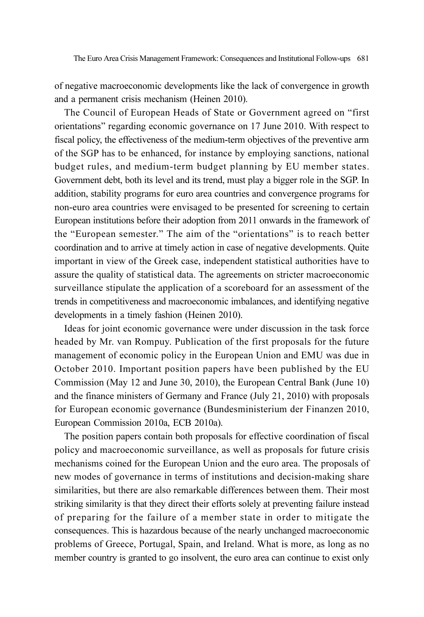of negative macroeconomic developments like the lack of convergence in growth and a permanent crisis mechanism (Heinen 2010).

The Council of European Heads of State or Government agreed on "first orientations" regarding economic governance on 17 June 2010. With respect to fiscal policy, the effectiveness of the medium-term objectives of the preventive arm of the SGP has to be enhanced, for instance by employing sanctions, national budget rules, and medium-term budget planning by EU member states. Government debt, both its level and its trend, must play a bigger role in the SGP. In addition, stability programs for euro area countries and convergence programs for non-euro area countries were envisaged to be presented for screening to certain European institutions before their adoption from 2011 onwards in the framework of the "European semester." The aim of the "orientations" is to reach better coordination and to arrive at timely action in case of negative developments. Quite important in view of the Greek case, independent statistical authorities have to assure the quality of statistical data. The agreements on stricter macroeconomic surveillance stipulate the application of a scoreboard for an assessment of the trends in competitiveness and macroeconomic imbalances, and identifying negative developments in a timely fashion (Heinen 2010).

Ideas for joint economic governance were under discussion in the task force headed by Mr. van Rompuy. Publication of the first proposals for the future management of economic policy in the European Union and EMU was due in October 2010. Important position papers have been published by the EU Commission (May 12 and June 30, 2010), the European Central Bank (June 10) and the finance ministers of Germany and France (July 21, 2010) with proposals for European economic governance (Bundesministerium der Finanzen 2010, European Commission 2010a, ECB 2010a).

The position papers contain both proposals for effective coordination of fiscal policy and macroeconomic surveillance, as well as proposals for future crisis mechanisms coined for the European Union and the euro area. The proposals of new modes of governance in terms of institutions and decision-making share similarities, but there are also remarkable differences between them. Their most striking similarity is that they direct their efforts solely at preventing failure instead of preparing for the failure of a member state in order to mitigate the consequences. This is hazardous because of the nearly unchanged macroeconomic problems of Greece, Portugal, Spain, and Ireland. What is more, as long as no member country is granted to go insolvent, the euro area can continue to exist only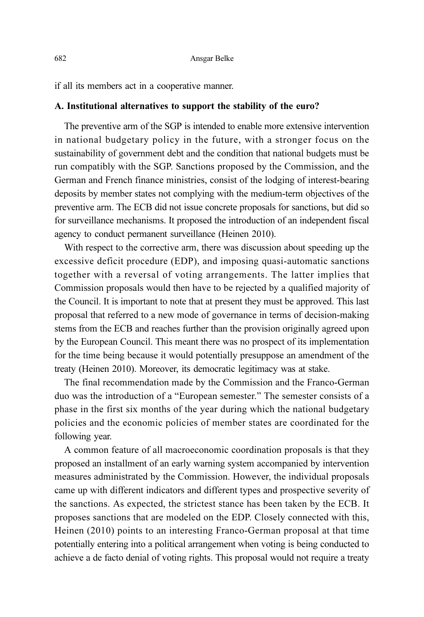if all its members act in a cooperative manner.

## A. Institutional alternatives to support the stability of the euro?

The preventive arm of the SGP is intended to enable more extensive intervention in national budgetary policy in the future, with a stronger focus on the sustainability of government debt and the condition that national budgets must be run compatibly with the SGP. Sanctions proposed by the Commission, and the German and French finance ministries, consist of the lodging of interest-bearing deposits by member states not complying with the medium-term objectives of the preventive arm. The ECB did not issue concrete proposals for sanctions, but did so for surveillance mechanisms. It proposed the introduction of an independent fiscal agency to conduct permanent surveillance (Heinen 2010).

With respect to the corrective arm, there was discussion about speeding up the excessive deficit procedure (EDP), and imposing quasi-automatic sanctions together with a reversal of voting arrangements. The latter implies that Commission proposals would then have to be rejected by a qualified majority of the Council. It is important to note that at present they must be approved. This last proposal that referred to a new mode of governance in terms of decision-making stems from the ECB and reaches further than the provision originally agreed upon by the European Council. This meant there was no prospect of its implementation for the time being because it would potentially presuppose an amendment of the treaty (Heinen 2010). Moreover, its democratic legitimacy was at stake.

The final recommendation made by the Commission and the Franco-German duo was the introduction of a "European semester." The semester consists of a phase in the first six months of the year during which the national budgetary policies and the economic policies of member states are coordinated for the following year.

A common feature of all macroeconomic coordination proposals is that they proposed an installment of an early warning system accompanied by intervention measures administrated by the Commission. However, the individual proposals came up with different indicators and different types and prospective severity of the sanctions. As expected, the strictest stance has been taken by the ECB. It proposes sanctions that are modeled on the EDP. Closely connected with this, Heinen (2010) points to an interesting Franco-German proposal at that time potentially entering into a political arrangement when voting is being conducted to achieve a de facto denial of voting rights. This proposal would not require a treaty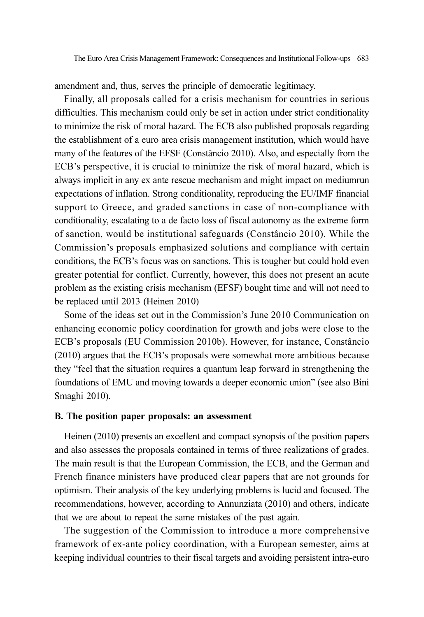amendment and, thus, serves the principle of democratic legitimacy.

Finally, all proposals called for a crisis mechanism for countries in serious difficulties. This mechanism could only be set in action under strict conditionality to minimize the risk of moral hazard. The ECB also published proposals regarding the establishment of a euro area crisis management institution, which would have many of the features of the EFSF (Constâncio 2010). Also, and especially from the ECB's perspective, it is crucial to minimize the risk of moral hazard, which is always implicit in any ex ante rescue mechanism and might impact on mediumrun expectations of inflation. Strong conditionality, reproducing the EU/IMF financial support to Greece, and graded sanctions in case of non-compliance with conditionality, escalating to a de facto loss of fiscal autonomy as the extreme form of sanction, would be institutional safeguards (Constâncio 2010). While the Commission's proposals emphasized solutions and compliance with certain conditions, the ECB's focus was on sanctions. This is tougher but could hold even greater potential for conflict. Currently, however, this does not present an acute problem as the existing crisis mechanism (EFSF) bought time and will not need to be replaced until 2013 (Heinen 2010)

Some of the ideas set out in the Commission's June 2010 Communication on enhancing economic policy coordination for growth and jobs were close to the ECB's proposals (EU Commission 2010b). However, for instance, Constâncio (2010) argues that the ECB's proposals were somewhat more ambitious because they "feel that the situation requires a quantum leap forward in strengthening the foundations of EMU and moving towards a deeper economic union" (see also Bini Smaghi 2010).

## B. The position paper proposals: an assessment

Heinen (2010) presents an excellent and compact synopsis of the position papers and also assesses the proposals contained in terms of three realizations of grades. The main result is that the European Commission, the ECB, and the German and French finance ministers have produced clear papers that are not grounds for optimism. Their analysis of the key underlying problems is lucid and focused. The recommendations, however, according to Annunziata (2010) and others, indicate that we are about to repeat the same mistakes of the past again.

The suggestion of the Commission to introduce a more comprehensive framework of ex-ante policy coordination, with a European semester, aims at keeping individual countries to their fiscal targets and avoiding persistent intra-euro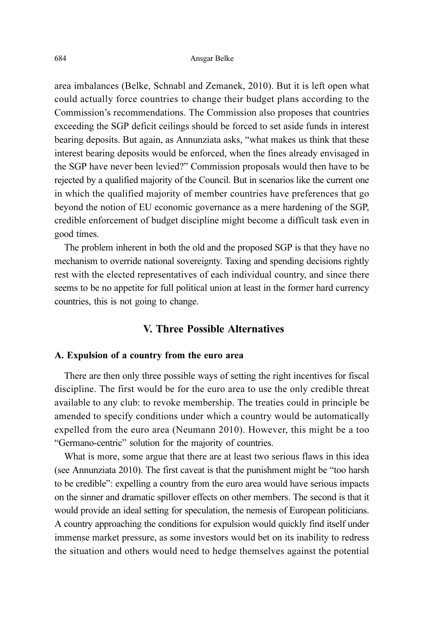area imbalances (Belke, Schnabl and Zemanek, 2010). But it is left open what could actually force countries to change their budget plans according to the Commission's recommendations. The Commission also proposes that countries exceeding the SGP deficit ceilings should be forced to set aside funds in interest bearing deposits. But again, as Annunziata asks, "what makes us think that these interest bearing deposits would be enforced, when the fines already envisaged in the SGP have never been levied?" Commission proposals would then have to be rejected by a qualified majority of the Council. But in scenarios like the current one in which the qualified majority of member countries have preferences that go beyond the notion of EU economic governance as a mere hardening of the SGP, credible enforcement of budget discipline might become a difficult task even in good times.

The problem inherent in both the old and the proposed SGP is that they have no mechanism to override national sovereignty. Taxing and spending decisions rightly rest with the elected representatives of each individual country, and since there seems to be no appetite for full political union at least in the former hard currency countries, this is not going to change.

# V. Three Possible Alternatives

## A. Expulsion of a country from the euro area

There are then only three possible ways of setting the right incentives for fiscal discipline. The first would be for the euro area to use the only credible threat available to any club: to revoke membership. The treaties could in principle be amended to specify conditions under which a country would be automatically expelled from the euro area (Neumann 2010). However, this might be a too "Germano-centric" solution for the majority of countries.

What is more, some argue that there are at least two serious flaws in this idea (see Annunziata 2010). The first caveat is that the punishment might be "too harsh to be credible": expelling a country from the euro area would have serious impacts on the sinner and dramatic spillover effects on other members. The second is that it would provide an ideal setting for speculation, the nemesis of European politicians. A country approaching the conditions for expulsion would quickly find itself under immense market pressure, as some investors would bet on its inability to redress the situation and others would need to hedge themselves against the potential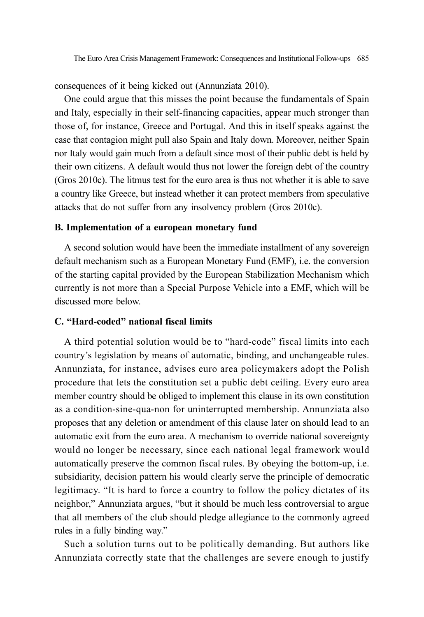consequences of it being kicked out (Annunziata 2010).

One could argue that this misses the point because the fundamentals of Spain and Italy, especially in their self-financing capacities, appear much stronger than those of, for instance, Greece and Portugal. And this in itself speaks against the case that contagion might pull also Spain and Italy down. Moreover, neither Spain nor Italy would gain much from a default since most of their public debt is held by their own citizens. A default would thus not lower the foreign debt of the country (Gros 2010c). The litmus test for the euro area is thus not whether it is able to save a country like Greece, but instead whether it can protect members from speculative attacks that do not suffer from any insolvency problem (Gros 2010c).

### B. Implementation of a european monetary fund

A second solution would have been the immediate installment of any sovereign default mechanism such as a European Monetary Fund (EMF), i.e. the conversion of the starting capital provided by the European Stabilization Mechanism which currently is not more than a Special Purpose Vehicle into a EMF, which will be discussed more below.

## C. "Hard-coded" national fiscal limits

A third potential solution would be to "hard-code" fiscal limits into each country's legislation by means of automatic, binding, and unchangeable rules. Annunziata, for instance, advises euro area policymakers adopt the Polish procedure that lets the constitution set a public debt ceiling. Every euro area member country should be obliged to implement this clause in its own constitution as a condition-sine-qua-non for uninterrupted membership. Annunziata also proposes that any deletion or amendment of this clause later on should lead to an automatic exit from the euro area. A mechanism to override national sovereignty would no longer be necessary, since each national legal framework would automatically preserve the common fiscal rules. By obeying the bottom-up, i.e. subsidiarity, decision pattern his would clearly serve the principle of democratic legitimacy. "It is hard to force a country to follow the policy dictates of its neighbor," Annunziata argues, "but it should be much less controversial to argue that all members of the club should pledge allegiance to the commonly agreed rules in a fully binding way."

Such a solution turns out to be politically demanding. But authors like Annunziata correctly state that the challenges are severe enough to justify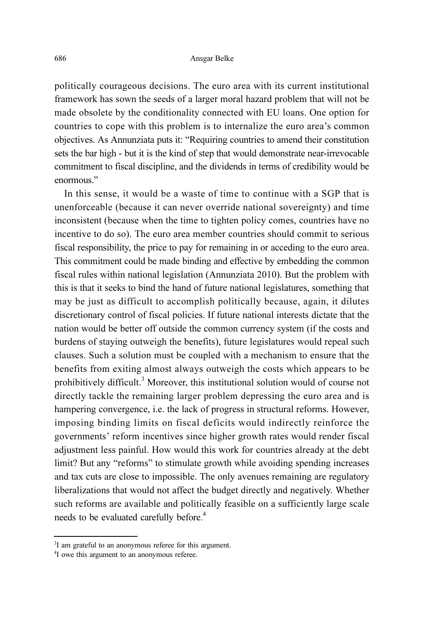politically courageous decisions. The euro area with its current institutional framework has sown the seeds of a larger moral hazard problem that will not be made obsolete by the conditionality connected with EU loans. One option for countries to cope with this problem is to internalize the euro area's common objectives. As Annunziata puts it: "Requiring countries to amend their constitution sets the bar high - but it is the kind of step that would demonstrate near-irrevocable commitment to fiscal discipline, and the dividends in terms of credibility would be enormous"

In this sense, it would be a waste of time to continue with a SGP that is unenforceable (because it can never override national sovereignty) and time inconsistent (because when the time to tighten policy comes, countries have no incentive to do so). The euro area member countries should commit to serious fiscal responsibility, the price to pay for remaining in or acceding to the euro area. This commitment could be made binding and effective by embedding the common fiscal rules within national legislation (Annunziata 2010). But the problem with this is that it seeks to bind the hand of future national legislatures, something that may be just as difficult to accomplish politically because, again, it dilutes discretionary control of fiscal policies. If future national interests dictate that the nation would be better off outside the common currency system (if the costs and burdens of staying outweigh the benefits), future legislatures would repeal such clauses. Such a solution must be coupled with a mechanism to ensure that the benefits from exiting almost always outweigh the costs which appears to be prohibitively difficult.<sup>3</sup> Moreover, this institutional solution would of course not directly tackle the remaining larger problem depressing the euro area and is hampering convergence, i.e. the lack of progress in structural reforms. However, imposing binding limits on fiscal deficits would indirectly reinforce the governments' reform incentives since higher growth rates would render fiscal adjustment less painful. How would this work for countries already at the debt limit? But any "reforms" to stimulate growth while avoiding spending increases and tax cuts are close to impossible. The only avenues remaining are regulatory liberalizations that would not affect the budget directly and negatively. Whether such reforms are available and politically feasible on a sufficiently large scale needs to be evaluated carefully before.<sup>4</sup>

<sup>&</sup>lt;sup>3</sup>I am grateful to an anonymous referee for this argument.

<sup>4</sup> I owe this argument to an anonymous referee.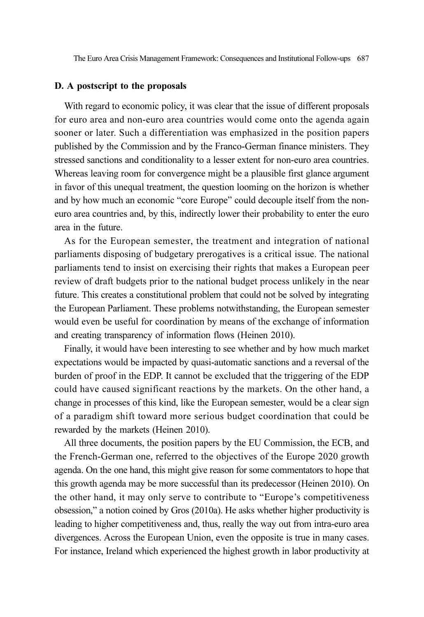The Euro Area Crisis Management Framework: Consequences and Institutional Follow-ups 687

#### D. A postscript to the proposals

With regard to economic policy, it was clear that the issue of different proposals for euro area and non-euro area countries would come onto the agenda again sooner or later. Such a differentiation was emphasized in the position papers published by the Commission and by the Franco-German finance ministers. They stressed sanctions and conditionality to a lesser extent for non-euro area countries. Whereas leaving room for convergence might be a plausible first glance argument in favor of this unequal treatment, the question looming on the horizon is whether and by how much an economic "core Europe" could decouple itself from the noneuro area countries and, by this, indirectly lower their probability to enter the euro area in the future.

As for the European semester, the treatment and integration of national parliaments disposing of budgetary prerogatives is a critical issue. The national parliaments tend to insist on exercising their rights that makes a European peer review of draft budgets prior to the national budget process unlikely in the near future. This creates a constitutional problem that could not be solved by integrating the European Parliament. These problems notwithstanding, the European semester would even be useful for coordination by means of the exchange of information and creating transparency of information flows (Heinen 2010).

Finally, it would have been interesting to see whether and by how much market expectations would be impacted by quasi-automatic sanctions and a reversal of the burden of proof in the EDP. It cannot be excluded that the triggering of the EDP could have caused significant reactions by the markets. On the other hand, a change in processes of this kind, like the European semester, would be a clear sign of a paradigm shift toward more serious budget coordination that could be rewarded by the markets (Heinen 2010).

All three documents, the position papers by the EU Commission, the ECB, and the French-German one, referred to the objectives of the Europe 2020 growth agenda. On the one hand, this might give reason for some commentators to hope that this growth agenda may be more successful than its predecessor (Heinen 2010). On the other hand, it may only serve to contribute to "Europe's competitiveness obsession," a notion coined by Gros (2010a). He asks whether higher productivity is leading to higher competitiveness and, thus, really the way out from intra-euro area divergences. Across the European Union, even the opposite is true in many cases. For instance, Ireland which experienced the highest growth in labor productivity at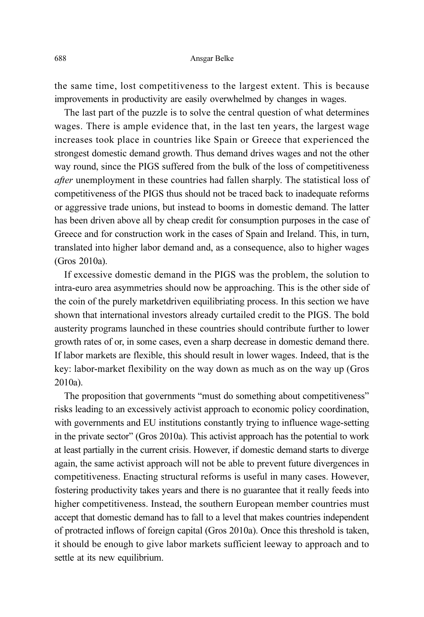the same time, lost competitiveness to the largest extent. This is because improvements in productivity are easily overwhelmed by changes in wages.

The last part of the puzzle is to solve the central question of what determines wages. There is ample evidence that, in the last ten years, the largest wage increases took place in countries like Spain or Greece that experienced the strongest domestic demand growth. Thus demand drives wages and not the other way round, since the PIGS suffered from the bulk of the loss of competitiveness after unemployment in these countries had fallen sharply. The statistical loss of competitiveness of the PIGS thus should not be traced back to inadequate reforms or aggressive trade unions, but instead to booms in domestic demand. The latter has been driven above all by cheap credit for consumption purposes in the case of Greece and for construction work in the cases of Spain and Ireland. This, in turn, translated into higher labor demand and, as a consequence, also to higher wages (Gros 2010a).

If excessive domestic demand in the PIGS was the problem, the solution to intra-euro area asymmetries should now be approaching. This is the other side of the coin of the purely marketdriven equilibriating process. In this section we have shown that international investors already curtailed credit to the PIGS. The bold austerity programs launched in these countries should contribute further to lower growth rates of or, in some cases, even a sharp decrease in domestic demand there. If labor markets are flexible, this should result in lower wages. Indeed, that is the key: labor-market flexibility on the way down as much as on the way up (Gros 2010a).

The proposition that governments "must do something about competitiveness" risks leading to an excessively activist approach to economic policy coordination, with governments and EU institutions constantly trying to influence wage-setting in the private sector" (Gros 2010a). This activist approach has the potential to work at least partially in the current crisis. However, if domestic demand starts to diverge again, the same activist approach will not be able to prevent future divergences in competitiveness. Enacting structural reforms is useful in many cases. However, fostering productivity takes years and there is no guarantee that it really feeds into higher competitiveness. Instead, the southern European member countries must accept that domestic demand has to fall to a level that makes countries independent of protracted inflows of foreign capital (Gros 2010a). Once this threshold is taken, it should be enough to give labor markets sufficient leeway to approach and to settle at its new equilibrium.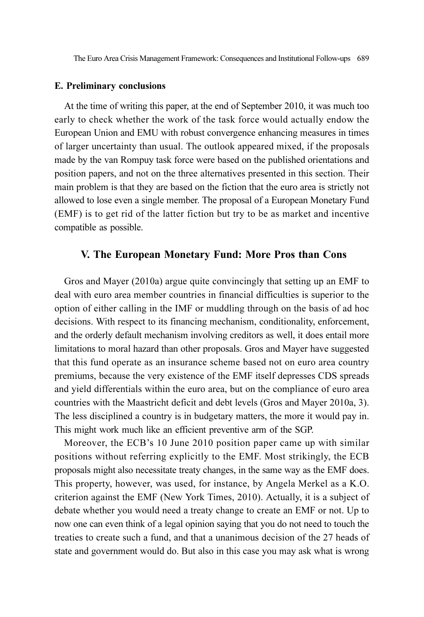The Euro Area Crisis Management Framework: Consequences and Institutional Follow-ups 689

### E. Preliminary conclusions

At the time of writing this paper, at the end of September 2010, it was much too early to check whether the work of the task force would actually endow the European Union and EMU with robust convergence enhancing measures in times of larger uncertainty than usual. The outlook appeared mixed, if the proposals made by the van Rompuy task force were based on the published orientations and position papers, and not on the three alternatives presented in this section. Their main problem is that they are based on the fiction that the euro area is strictly not allowed to lose even a single member. The proposal of a European Monetary Fund (EMF) is to get rid of the latter fiction but try to be as market and incentive compatible as possible.

## V. The European Monetary Fund: More Pros than Cons

Gros and Mayer (2010a) argue quite convincingly that setting up an EMF to deal with euro area member countries in financial difficulties is superior to the option of either calling in the IMF or muddling through on the basis of ad hoc decisions. With respect to its financing mechanism, conditionality, enforcement, and the orderly default mechanism involving creditors as well, it does entail more limitations to moral hazard than other proposals. Gros and Mayer have suggested that this fund operate as an insurance scheme based not on euro area country premiums, because the very existence of the EMF itself depresses CDS spreads and yield differentials within the euro area, but on the compliance of euro area countries with the Maastricht deficit and debt levels (Gros and Mayer 2010a, 3). The less disciplined a country is in budgetary matters, the more it would pay in. This might work much like an efficient preventive arm of the SGP.

Moreover, the ECB's 10 June 2010 position paper came up with similar positions without referring explicitly to the EMF. Most strikingly, the ECB proposals might also necessitate treaty changes, in the same way as the EMF does. This property, however, was used, for instance, by Angela Merkel as a K.O. criterion against the EMF (New York Times, 2010). Actually, it is a subject of debate whether you would need a treaty change to create an EMF or not. Up to now one can even think of a legal opinion saying that you do not need to touch the treaties to create such a fund, and that a unanimous decision of the 27 heads of state and government would do. But also in this case you may ask what is wrong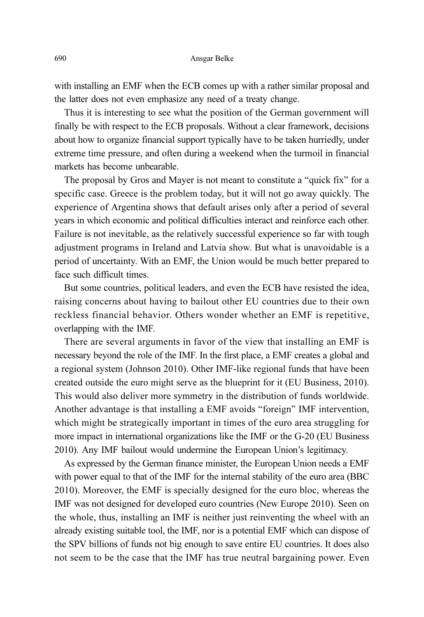with installing an EMF when the ECB comes up with a rather similar proposal and the latter does not even emphasize any need of a treaty change.

Thus it is interesting to see what the position of the German government will finally be with respect to the ECB proposals. Without a clear framework, decisions about how to organize financial support typically have to be taken hurriedly, under extreme time pressure, and often during a weekend when the turmoil in financial markets has become unbearable.

The proposal by Gros and Mayer is not meant to constitute a "quick fix" for a specific case. Greece is the problem today, but it will not go away quickly. The experience of Argentina shows that default arises only after a period of several years in which economic and political difficulties interact and reinforce each other. Failure is not inevitable, as the relatively successful experience so far with tough adjustment programs in Ireland and Latvia show. But what is unavoidable is a period of uncertainty. With an EMF, the Union would be much better prepared to face such difficult times.

But some countries, political leaders, and even the ECB have resisted the idea, raising concerns about having to bailout other EU countries due to their own reckless financial behavior. Others wonder whether an EMF is repetitive, overlapping with the IMF.

There are several arguments in favor of the view that installing an EMF is necessary beyond the role of the IMF. In the first place, a EMF creates a global and a regional system (Johnson 2010). Other IMF-like regional funds that have been created outside the euro might serve as the blueprint for it (EU Business, 2010). This would also deliver more symmetry in the distribution of funds worldwide. Another advantage is that installing a EMF avoids "foreign" IMF intervention, which might be strategically important in times of the euro area struggling for more impact in international organizations like the IMF or the G-20 (EU Business 2010). Any IMF bailout would undermine the European Union's legitimacy.

As expressed by the German finance minister, the European Union needs a EMF with power equal to that of the IMF for the internal stability of the euro area (BBC 2010). Moreover, the EMF is specially designed for the euro bloc, whereas the IMF was not designed for developed euro countries (New Europe 2010). Seen on the whole, thus, installing an IMF is neither just reinventing the wheel with an already existing suitable tool, the IMF, nor is a potential EMF which can dispose of the SPV billions of funds not big enough to save entire EU countries. It does also not seem to be the case that the IMF has true neutral bargaining power. Even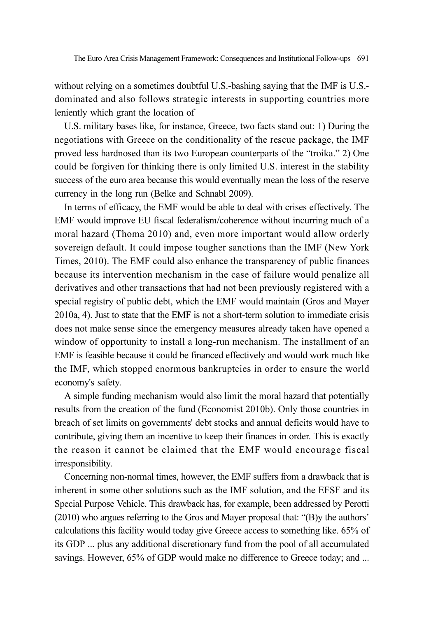without relying on a sometimes doubtful U.S.-bashing saying that the IMF is U.S. dominated and also follows strategic interests in supporting countries more leniently which grant the location of

U.S. military bases like, for instance, Greece, two facts stand out: 1) During the negotiations with Greece on the conditionality of the rescue package, the IMF proved less hardnosed than its two European counterparts of the "troika." 2) One could be forgiven for thinking there is only limited U.S. interest in the stability success of the euro area because this would eventually mean the loss of the reserve currency in the long run (Belke and Schnabl 2009).

In terms of efficacy, the EMF would be able to deal with crises effectively. The EMF would improve EU fiscal federalism/coherence without incurring much of a moral hazard (Thoma 2010) and, even more important would allow orderly sovereign default. It could impose tougher sanctions than the IMF (New York Times, 2010). The EMF could also enhance the transparency of public finances because its intervention mechanism in the case of failure would penalize all derivatives and other transactions that had not been previously registered with a special registry of public debt, which the EMF would maintain (Gros and Mayer 2010a, 4). Just to state that the EMF is not a short-term solution to immediate crisis does not make sense since the emergency measures already taken have opened a window of opportunity to install a long-run mechanism. The installment of an EMF is feasible because it could be financed effectively and would work much like the IMF, which stopped enormous bankruptcies in order to ensure the world economy's safety.

A simple funding mechanism would also limit the moral hazard that potentially results from the creation of the fund (Economist 2010b). Only those countries in breach of set limits on governments' debt stocks and annual deficits would have to contribute, giving them an incentive to keep their finances in order. This is exactly the reason it cannot be claimed that the EMF would encourage fiscal irresponsibility.

Concerning non-normal times, however, the EMF suffers from a drawback that is inherent in some other solutions such as the IMF solution, and the EFSF and its Special Purpose Vehicle. This drawback has, for example, been addressed by Perotti (2010) who argues referring to the Gros and Mayer proposal that: "(B)y the authors' calculations this facility would today give Greece access to something like. 65% of its GDP ... plus any additional discretionary fund from the pool of all accumulated savings. However, 65% of GDP would make no difference to Greece today; and ...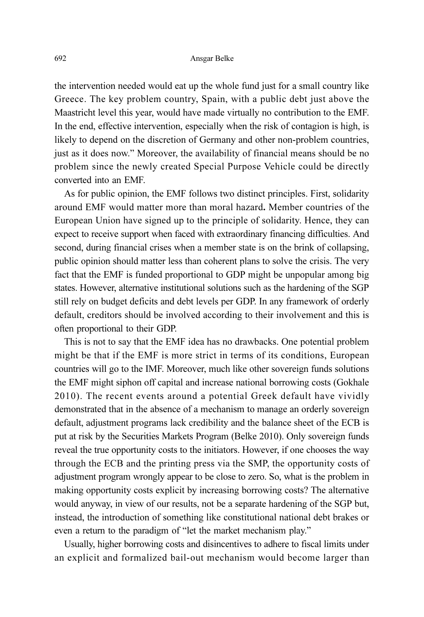the intervention needed would eat up the whole fund just for a small country like Greece. The key problem country, Spain, with a public debt just above the Maastricht level this year, would have made virtually no contribution to the EMF. In the end, effective intervention, especially when the risk of contagion is high, is likely to depend on the discretion of Germany and other non-problem countries, just as it does now." Moreover, the availability of financial means should be no problem since the newly created Special Purpose Vehicle could be directly converted into an EMF.

As for public opinion, the EMF follows two distinct principles. First, solidarity around EMF would matter more than moral hazard. Member countries of the European Union have signed up to the principle of solidarity. Hence, they can expect to receive support when faced with extraordinary financing difficulties. And second, during financial crises when a member state is on the brink of collapsing, public opinion should matter less than coherent plans to solve the crisis. The very fact that the EMF is funded proportional to GDP might be unpopular among big states. However, alternative institutional solutions such as the hardening of the SGP still rely on budget deficits and debt levels per GDP. In any framework of orderly default, creditors should be involved according to their involvement and this is often proportional to their GDP.

This is not to say that the EMF idea has no drawbacks. One potential problem might be that if the EMF is more strict in terms of its conditions, European countries will go to the IMF. Moreover, much like other sovereign funds solutions the EMF might siphon off capital and increase national borrowing costs (Gokhale 2010). The recent events around a potential Greek default have vividly demonstrated that in the absence of a mechanism to manage an orderly sovereign default, adjustment programs lack credibility and the balance sheet of the ECB is put at risk by the Securities Markets Program (Belke 2010). Only sovereign funds reveal the true opportunity costs to the initiators. However, if one chooses the way through the ECB and the printing press via the SMP, the opportunity costs of adjustment program wrongly appear to be close to zero. So, what is the problem in making opportunity costs explicit by increasing borrowing costs? The alternative would anyway, in view of our results, not be a separate hardening of the SGP but, instead, the introduction of something like constitutional national debt brakes or even a return to the paradigm of "let the market mechanism play."

Usually, higher borrowing costs and disincentives to adhere to fiscal limits under an explicit and formalized bail-out mechanism would become larger than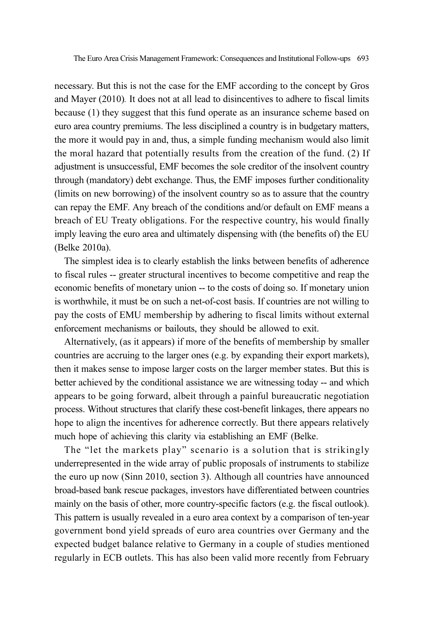necessary. But this is not the case for the EMF according to the concept by Gros and Mayer (2010). It does not at all lead to disincentives to adhere to fiscal limits because (1) they suggest that this fund operate as an insurance scheme based on euro area country premiums. The less disciplined a country is in budgetary matters, the more it would pay in and, thus, a simple funding mechanism would also limit the moral hazard that potentially results from the creation of the fund. (2) If adjustment is unsuccessful, EMF becomes the sole creditor of the insolvent country through (mandatory) debt exchange. Thus, the EMF imposes further conditionality (limits on new borrowing) of the insolvent country so as to assure that the country can repay the EMF. Any breach of the conditions and/or default on EMF means a breach of EU Treaty obligations. For the respective country, his would finally imply leaving the euro area and ultimately dispensing with (the benefits of) the EU (Belke 2010a).

The simplest idea is to clearly establish the links between benefits of adherence to fiscal rules -- greater structural incentives to become competitive and reap the economic benefits of monetary union -- to the costs of doing so. If monetary union is worthwhile, it must be on such a net-of-cost basis. If countries are not willing to pay the costs of EMU membership by adhering to fiscal limits without external enforcement mechanisms or bailouts, they should be allowed to exit.

Alternatively, (as it appears) if more of the benefits of membership by smaller countries are accruing to the larger ones (e.g. by expanding their export markets), then it makes sense to impose larger costs on the larger member states. But this is better achieved by the conditional assistance we are witnessing today -- and which appears to be going forward, albeit through a painful bureaucratic negotiation process. Without structures that clarify these cost-benefit linkages, there appears no hope to align the incentives for adherence correctly. But there appears relatively much hope of achieving this clarity via establishing an EMF (Belke.

The "let the markets play" scenario is a solution that is strikingly underrepresented in the wide array of public proposals of instruments to stabilize the euro up now (Sinn 2010, section 3). Although all countries have announced broad-based bank rescue packages, investors have differentiated between countries mainly on the basis of other, more country-specific factors (e.g. the fiscal outlook). This pattern is usually revealed in a euro area context by a comparison of ten-year government bond yield spreads of euro area countries over Germany and the expected budget balance relative to Germany in a couple of studies mentioned regularly in ECB outlets. This has also been valid more recently from February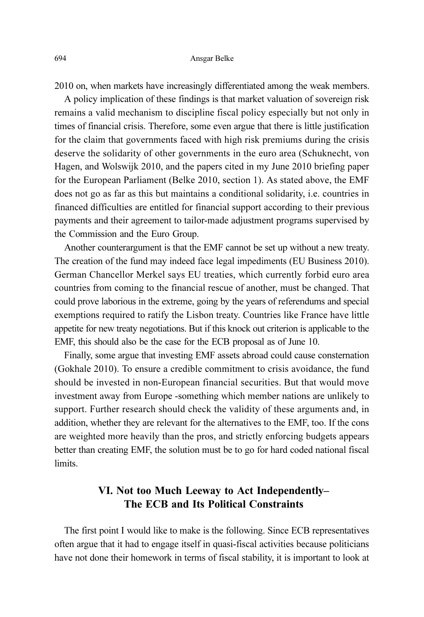2010 on, when markets have increasingly differentiated among the weak members.

A policy implication of these findings is that market valuation of sovereign risk remains a valid mechanism to discipline fiscal policy especially but not only in times of financial crisis. Therefore, some even argue that there is little justification for the claim that governments faced with high risk premiums during the crisis deserve the solidarity of other governments in the euro area (Schuknecht, von Hagen, and Wolswijk 2010, and the papers cited in my June 2010 briefing paper for the European Parliament (Belke 2010, section 1). As stated above, the EMF does not go as far as this but maintains a conditional solidarity, i.e. countries in financed difficulties are entitled for financial support according to their previous payments and their agreement to tailor-made adjustment programs supervised by the Commission and the Euro Group.

Another counterargument is that the EMF cannot be set up without a new treaty. The creation of the fund may indeed face legal impediments (EU Business 2010). German Chancellor Merkel says EU treaties, which currently forbid euro area countries from coming to the financial rescue of another, must be changed. That could prove laborious in the extreme, going by the years of referendums and special exemptions required to ratify the Lisbon treaty. Countries like France have little appetite for new treaty negotiations. But if this knock out criterion is applicable to the EMF, this should also be the case for the ECB proposal as of June 10.

Finally, some argue that investing EMF assets abroad could cause consternation (Gokhale 2010). To ensure a credible commitment to crisis avoidance, the fund should be invested in non-European financial securities. But that would move investment away from Europe -something which member nations are unlikely to support. Further research should check the validity of these arguments and, in addition, whether they are relevant for the alternatives to the EMF, too. If the cons are weighted more heavily than the pros, and strictly enforcing budgets appears better than creating EMF, the solution must be to go for hard coded national fiscal limits.

# VI. Not too Much Leeway to Act Independently– The ECB and Its Political Constraints

The first point I would like to make is the following. Since ECB representatives often argue that it had to engage itself in quasi-fiscal activities because politicians have not done their homework in terms of fiscal stability, it is important to look at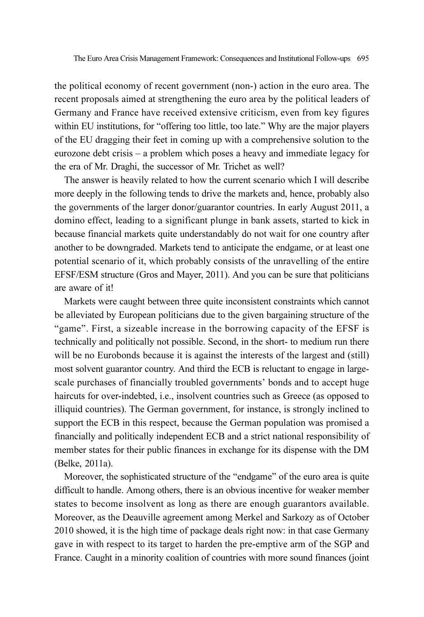the political economy of recent government (non-) action in the euro area. The recent proposals aimed at strengthening the euro area by the political leaders of Germany and France have received extensive criticism, even from key figures within EU institutions, for "offering too little, too late." Why are the major players of the EU dragging their feet in coming up with a comprehensive solution to the eurozone debt crisis – a problem which poses a heavy and immediate legacy for the era of Mr. Draghi, the successor of Mr. Trichet as well?

The answer is heavily related to how the current scenario which I will describe more deeply in the following tends to drive the markets and, hence, probably also the governments of the larger donor/guarantor countries. In early August 2011, a domino effect, leading to a significant plunge in bank assets, started to kick in because financial markets quite understandably do not wait for one country after another to be downgraded. Markets tend to anticipate the endgame, or at least one potential scenario of it, which probably consists of the unravelling of the entire EFSF/ESM structure (Gros and Mayer, 2011). And you can be sure that politicians are aware of it!

Markets were caught between three quite inconsistent constraints which cannot be alleviated by European politicians due to the given bargaining structure of the "game". First, a sizeable increase in the borrowing capacity of the EFSF is technically and politically not possible. Second, in the short- to medium run there will be no Eurobonds because it is against the interests of the largest and (still) most solvent guarantor country. And third the ECB is reluctant to engage in largescale purchases of financially troubled governments' bonds and to accept huge haircuts for over-indebted, i.e., insolvent countries such as Greece (as opposed to illiquid countries). The German government, for instance, is strongly inclined to support the ECB in this respect, because the German population was promised a financially and politically independent ECB and a strict national responsibility of member states for their public finances in exchange for its dispense with the DM (Belke, 2011a).

Moreover, the sophisticated structure of the "endgame" of the euro area is quite difficult to handle. Among others, there is an obvious incentive for weaker member states to become insolvent as long as there are enough guarantors available. Moreover, as the Deauville agreement among Merkel and Sarkozy as of October 2010 showed, it is the high time of package deals right now: in that case Germany gave in with respect to its target to harden the pre-emptive arm of the SGP and France. Caught in a minority coalition of countries with more sound finances (joint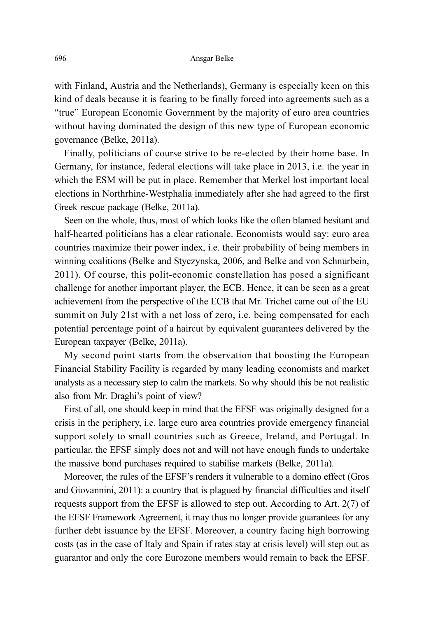with Finland, Austria and the Netherlands), Germany is especially keen on this kind of deals because it is fearing to be finally forced into agreements such as a "true" European Economic Government by the majority of euro area countries without having dominated the design of this new type of European economic governance (Belke, 2011a).

Finally, politicians of course strive to be re-elected by their home base. In Germany, for instance, federal elections will take place in 2013, i.e. the year in which the ESM will be put in place. Remember that Merkel lost important local elections in Northrhine-Westphalia immediately after she had agreed to the first Greek rescue package (Belke, 2011a).

Seen on the whole, thus, most of which looks like the often blamed hesitant and half-hearted politicians has a clear rationale. Economists would say: euro area countries maximize their power index, i.e. their probability of being members in winning coalitions (Belke and Styczynska, 2006, and Belke and von Schnurbein, 2011). Of course, this polit-economic constellation has posed a significant challenge for another important player, the ECB. Hence, it can be seen as a great achievement from the perspective of the ECB that Mr. Trichet came out of the EU summit on July 21st with a net loss of zero, i.e. being compensated for each potential percentage point of a haircut by equivalent guarantees delivered by the European taxpayer (Belke, 2011a).

My second point starts from the observation that boosting the European Financial Stability Facility is regarded by many leading economists and market analysts as a necessary step to calm the markets. So why should this be not realistic also from Mr. Draghi's point of view?

First of all, one should keep in mind that the EFSF was originally designed for a crisis in the periphery, i.e. large euro area countries provide emergency financial support solely to small countries such as Greece, Ireland, and Portugal. In particular, the EFSF simply does not and will not have enough funds to undertake the massive bond purchases required to stabilise markets (Belke, 2011a).

Moreover, the rules of the EFSF's renders it vulnerable to a domino effect (Gros and Giovannini, 2011): a country that is plagued by financial difficulties and itself requests support from the EFSF is allowed to step out. According to Art. 2(7) of the EFSF Framework Agreement, it may thus no longer provide guarantees for any further debt issuance by the EFSF. Moreover, a country facing high borrowing costs (as in the case of Italy and Spain if rates stay at crisis level) will step out as guarantor and only the core Eurozone members would remain to back the EFSF.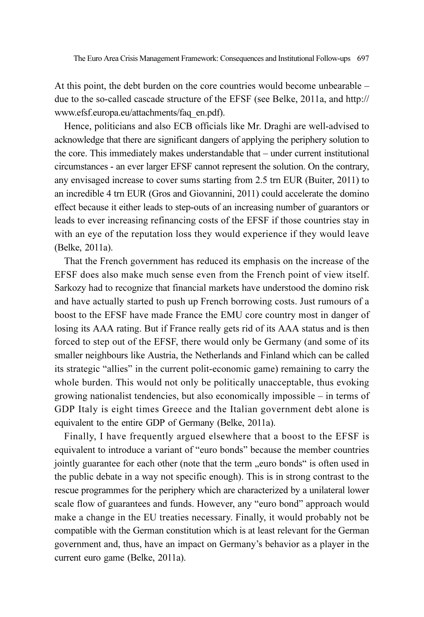At this point, the debt burden on the core countries would become unbearable – due to the so-called cascade structure of the EFSF (see Belke, 2011a, and http:// www.efsf.europa.eu/attachments/faq\_en.pdf).

Hence, politicians and also ECB officials like Mr. Draghi are well-advised to acknowledge that there are significant dangers of applying the periphery solution to the core. This immediately makes understandable that – under current institutional circumstances - an ever larger EFSF cannot represent the solution. On the contrary, any envisaged increase to cover sums starting from 2.5 trn EUR (Buiter, 2011) to an incredible 4 trn EUR (Gros and Giovannini, 2011) could accelerate the domino effect because it either leads to step-outs of an increasing number of guarantors or leads to ever increasing refinancing costs of the EFSF if those countries stay in with an eye of the reputation loss they would experience if they would leave (Belke, 2011a).

That the French government has reduced its emphasis on the increase of the EFSF does also make much sense even from the French point of view itself. Sarkozy had to recognize that financial markets have understood the domino risk and have actually started to push up French borrowing costs. Just rumours of a boost to the EFSF have made France the EMU core country most in danger of losing its AAA rating. But if France really gets rid of its AAA status and is then forced to step out of the EFSF, there would only be Germany (and some of its smaller neighbours like Austria, the Netherlands and Finland which can be called its strategic "allies" in the current polit-economic game) remaining to carry the whole burden. This would not only be politically unacceptable, thus evoking growing nationalist tendencies, but also economically impossible – in terms of GDP Italy is eight times Greece and the Italian government debt alone is equivalent to the entire GDP of Germany (Belke, 2011a).

Finally, I have frequently argued elsewhere that a boost to the EFSF is equivalent to introduce a variant of "euro bonds" because the member countries jointly guarantee for each other (note that the term "euro bonds" is often used in the public debate in a way not specific enough). This is in strong contrast to the rescue programmes for the periphery which are characterized by a unilateral lower scale flow of guarantees and funds. However, any "euro bond" approach would make a change in the EU treaties necessary. Finally, it would probably not be compatible with the German constitution which is at least relevant for the German government and, thus, have an impact on Germany's behavior as a player in the current euro game (Belke, 2011a).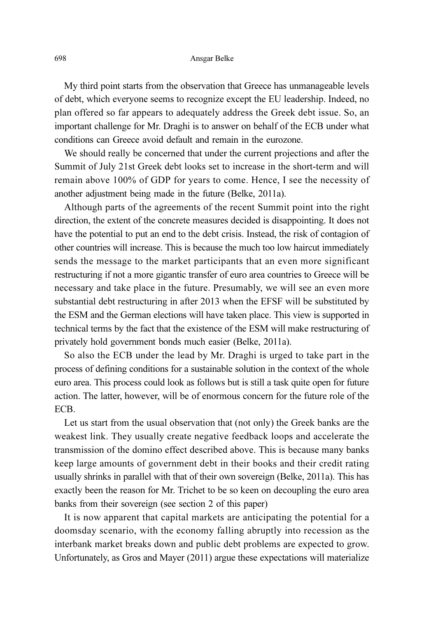My third point starts from the observation that Greece has unmanageable levels of debt, which everyone seems to recognize except the EU leadership. Indeed, no plan offered so far appears to adequately address the Greek debt issue. So, an important challenge for Mr. Draghi is to answer on behalf of the ECB under what conditions can Greece avoid default and remain in the eurozone.

We should really be concerned that under the current projections and after the Summit of July 21st Greek debt looks set to increase in the short-term and will remain above 100% of GDP for years to come. Hence, I see the necessity of another adjustment being made in the future (Belke, 2011a).

Although parts of the agreements of the recent Summit point into the right direction, the extent of the concrete measures decided is disappointing. It does not have the potential to put an end to the debt crisis. Instead, the risk of contagion of other countries will increase. This is because the much too low haircut immediately sends the message to the market participants that an even more significant restructuring if not a more gigantic transfer of euro area countries to Greece will be necessary and take place in the future. Presumably, we will see an even more substantial debt restructuring in after 2013 when the EFSF will be substituted by the ESM and the German elections will have taken place. This view is supported in technical terms by the fact that the existence of the ESM will make restructuring of privately hold government bonds much easier (Belke, 2011a).

So also the ECB under the lead by Mr. Draghi is urged to take part in the process of defining conditions for a sustainable solution in the context of the whole euro area. This process could look as follows but is still a task quite open for future action. The latter, however, will be of enormous concern for the future role of the ECB.

Let us start from the usual observation that (not only) the Greek banks are the weakest link. They usually create negative feedback loops and accelerate the transmission of the domino effect described above. This is because many banks keep large amounts of government debt in their books and their credit rating usually shrinks in parallel with that of their own sovereign (Belke, 2011a). This has exactly been the reason for Mr. Trichet to be so keen on decoupling the euro area banks from their sovereign (see section 2 of this paper)

It is now apparent that capital markets are anticipating the potential for a doomsday scenario, with the economy falling abruptly into recession as the interbank market breaks down and public debt problems are expected to grow. Unfortunately, as Gros and Mayer (2011) argue these expectations will materialize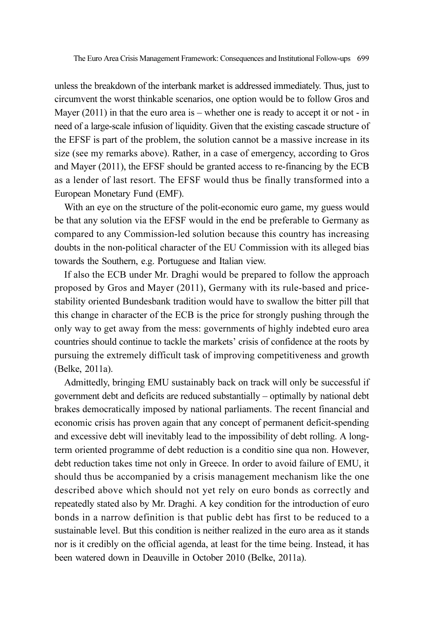unless the breakdown of the interbank market is addressed immediately. Thus, just to circumvent the worst thinkable scenarios, one option would be to follow Gros and Mayer (2011) in that the euro area is – whether one is ready to accept it or not - in need of a large-scale infusion of liquidity. Given that the existing cascade structure of the EFSF is part of the problem, the solution cannot be a massive increase in its size (see my remarks above). Rather, in a case of emergency, according to Gros and Mayer (2011), the EFSF should be granted access to re-financing by the ECB as a lender of last resort. The EFSF would thus be finally transformed into a European Monetary Fund (EMF).

With an eye on the structure of the polit-economic euro game, my guess would be that any solution via the EFSF would in the end be preferable to Germany as compared to any Commission-led solution because this country has increasing doubts in the non-political character of the EU Commission with its alleged bias towards the Southern, e.g. Portuguese and Italian view.

If also the ECB under Mr. Draghi would be prepared to follow the approach proposed by Gros and Mayer (2011), Germany with its rule-based and pricestability oriented Bundesbank tradition would have to swallow the bitter pill that this change in character of the ECB is the price for strongly pushing through the only way to get away from the mess: governments of highly indebted euro area countries should continue to tackle the markets' crisis of confidence at the roots by pursuing the extremely difficult task of improving competitiveness and growth (Belke, 2011a).

Admittedly, bringing EMU sustainably back on track will only be successful if government debt and deficits are reduced substantially – optimally by national debt brakes democratically imposed by national parliaments. The recent financial and economic crisis has proven again that any concept of permanent deficit-spending and excessive debt will inevitably lead to the impossibility of debt rolling. A longterm oriented programme of debt reduction is a conditio sine qua non. However, debt reduction takes time not only in Greece. In order to avoid failure of EMU, it should thus be accompanied by a crisis management mechanism like the one described above which should not yet rely on euro bonds as correctly and repeatedly stated also by Mr. Draghi. A key condition for the introduction of euro bonds in a narrow definition is that public debt has first to be reduced to a sustainable level. But this condition is neither realized in the euro area as it stands nor is it credibly on the official agenda, at least for the time being. Instead, it has been watered down in Deauville in October 2010 (Belke, 2011a).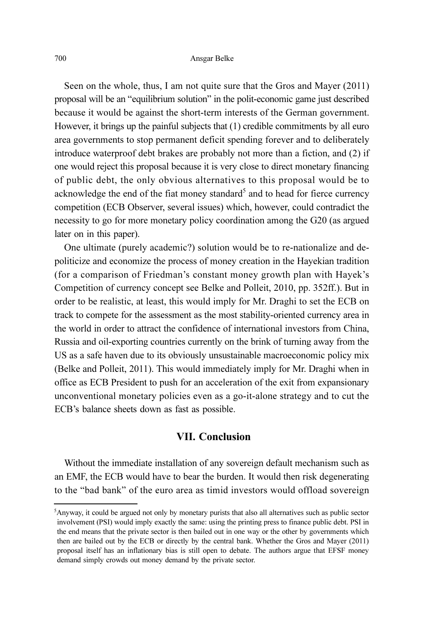Seen on the whole, thus, I am not quite sure that the Gros and Mayer (2011) proposal will be an "equilibrium solution" in the polit-economic game just described because it would be against the short-term interests of the German government. However, it brings up the painful subjects that (1) credible commitments by all euro area governments to stop permanent deficit spending forever and to deliberately introduce waterproof debt brakes are probably not more than a fiction, and (2) if one would reject this proposal because it is very close to direct monetary financing of public debt, the only obvious alternatives to this proposal would be to acknowledge the end of the fiat money standard<sup>5</sup> and to head for fierce currency competition (ECB Observer, several issues) which, however, could contradict the necessity to go for more monetary policy coordination among the G20 (as argued later on in this paper).

One ultimate (purely academic?) solution would be to re-nationalize and depoliticize and economize the process of money creation in the Hayekian tradition (for a comparison of Friedman's constant money growth plan with Hayek's Competition of currency concept see Belke and Polleit, 2010, pp. 352ff.). But in order to be realistic, at least, this would imply for Mr. Draghi to set the ECB on track to compete for the assessment as the most stability-oriented currency area in the world in order to attract the confidence of international investors from China, Russia and oil-exporting countries currently on the brink of turning away from the US as a safe haven due to its obviously unsustainable macroeconomic policy mix (Belke and Polleit, 2011). This would immediately imply for Mr. Draghi when in office as ECB President to push for an acceleration of the exit from expansionary unconventional monetary policies even as a go-it-alone strategy and to cut the ECB's balance sheets down as fast as possible.

# VII. Conclusion

Without the immediate installation of any sovereign default mechanism such as an EMF, the ECB would have to bear the burden. It would then risk degenerating to the "bad bank" of the euro area as timid investors would offload sovereign

<sup>&</sup>lt;sup>5</sup>Anyway, it could be argued not only by monetary purists that also all alternatives such as public sector involvement (PSI) would imply exactly the same: using the printing press to finance public debt. PSI in the end means that the private sector is then bailed out in one way or the other by governments which then are bailed out by the ECB or directly by the central bank. Whether the Gros and Mayer (2011) proposal itself has an inflationary bias is still open to debate. The authors argue that EFSF money demand simply crowds out money demand by the private sector.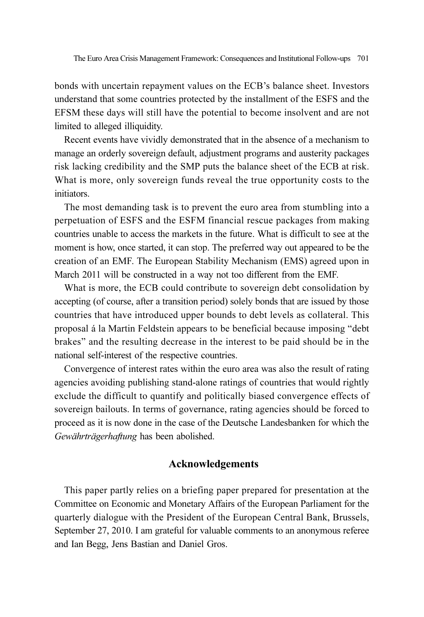bonds with uncertain repayment values on the ECB's balance sheet. Investors understand that some countries protected by the installment of the ESFS and the EFSM these days will still have the potential to become insolvent and are not limited to alleged illiquidity.

Recent events have vividly demonstrated that in the absence of a mechanism to manage an orderly sovereign default, adjustment programs and austerity packages risk lacking credibility and the SMP puts the balance sheet of the ECB at risk. What is more, only sovereign funds reveal the true opportunity costs to the initiators.

The most demanding task is to prevent the euro area from stumbling into a perpetuation of ESFS and the ESFM financial rescue packages from making countries unable to access the markets in the future. What is difficult to see at the moment is how, once started, it can stop. The preferred way out appeared to be the creation of an EMF. The European Stability Mechanism (EMS) agreed upon in March 2011 will be constructed in a way not too different from the EMF.

What is more, the ECB could contribute to sovereign debt consolidation by accepting (of course, after a transition period) solely bonds that are issued by those countries that have introduced upper bounds to debt levels as collateral. This proposal á la Martin Feldstein appears to be beneficial because imposing "debt brakes" and the resulting decrease in the interest to be paid should be in the national self-interest of the respective countries.

Convergence of interest rates within the euro area was also the result of rating agencies avoiding publishing stand-alone ratings of countries that would rightly exclude the difficult to quantify and politically biased convergence effects of sovereign bailouts. In terms of governance, rating agencies should be forced to proceed as it is now done in the case of the Deutsche Landesbanken for which the Gewährträgerhaftung has been abolished.

# Acknowledgements

This paper partly relies on a briefing paper prepared for presentation at the Committee on Economic and Monetary Affairs of the European Parliament for the quarterly dialogue with the President of the European Central Bank, Brussels, September 27, 2010. I am grateful for valuable comments to an anonymous referee and Ian Begg, Jens Bastian and Daniel Gros.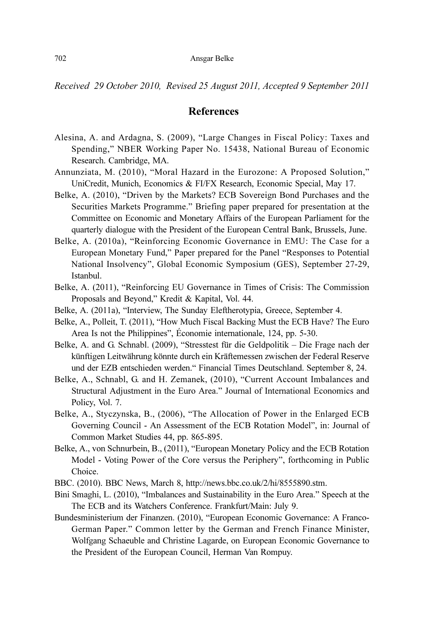Received 29 October 2010, Revised 25 August 2011, Accepted 9 September 2011

## **References**

- Alesina, A. and Ardagna, S. (2009), "Large Changes in Fiscal Policy: Taxes and Spending," NBER Working Paper No. 15438, National Bureau of Economic Research. Cambridge, MA.
- Annunziata, M. (2010), "Moral Hazard in the Eurozone: A Proposed Solution," UniCredit, Munich, Economics & FI/FX Research, Economic Special, May 17.
- Belke, A. (2010), "Driven by the Markets? ECB Sovereign Bond Purchases and the Securities Markets Programme." Briefing paper prepared for presentation at the Committee on Economic and Monetary Affairs of the European Parliament for the quarterly dialogue with the President of the European Central Bank, Brussels, June.
- Belke, A. (2010a), "Reinforcing Economic Governance in EMU: The Case for a European Monetary Fund," Paper prepared for the Panel "Responses to Potential National Insolvency", Global Economic Symposium (GES), September 27-29, Istanbul.
- Belke, A. (2011), "Reinforcing EU Governance in Times of Crisis: The Commission Proposals and Beyond," Kredit & Kapital, Vol. 44.
- Belke, A. (2011a), "Interview, The Sunday Eleftherotypia, Greece, September 4.
- Belke, A., Polleit, T. (2011), "How Much Fiscal Backing Must the ECB Have? The Euro Area Is not the Philippines", Économie internationale, 124, pp. 5-30.
- Belke, A. and G. Schnabl. (2009), "Stresstest für die Geldpolitik Die Frage nach der künftigen Leitwährung könnte durch ein Kräftemessen zwischen der Federal Reserve und der EZB entschieden werden." Financial Times Deutschland. September 8, 24.
- Belke, A., Schnabl, G. and H. Zemanek, (2010), "Current Account Imbalances and Structural Adjustment in the Euro Area." Journal of International Economics and Policy, Vol. 7.
- Belke, A., Styczynska, B., (2006), "The Allocation of Power in the Enlarged ECB Governing Council - An Assessment of the ECB Rotation Model", in: Journal of Common Market Studies 44, pp. 865-895.
- Belke, A., von Schnurbein, B., (2011), "European Monetary Policy and the ECB Rotation Model - Voting Power of the Core versus the Periphery", forthcoming in Public Choice.
- BBC. (2010). BBC News, March 8, http://news.bbc.co.uk/2/hi/8555890.stm.
- Bini Smaghi, L. (2010), "Imbalances and Sustainability in the Euro Area." Speech at the The ECB and its Watchers Conference. Frankfurt/Main: July 9.
- Bundesministerium der Finanzen. (2010), "European Economic Governance: A Franco-German Paper." Common letter by the German and French Finance Minister, Wolfgang Schaeuble and Christine Lagarde, on European Economic Governance to the President of the European Council, Herman Van Rompuy.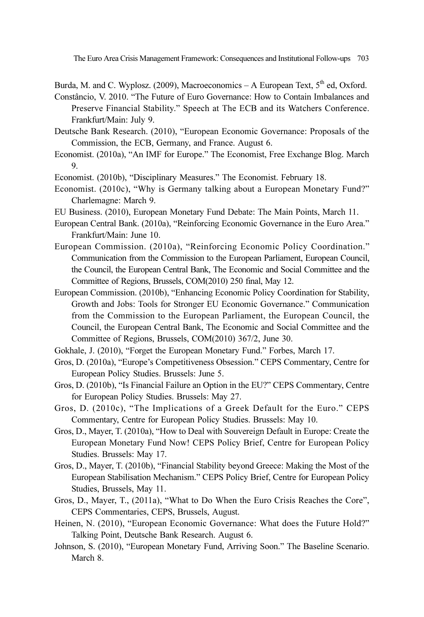The Euro Area Crisis Management Framework: Consequences and Institutional Follow-ups 703

Burda, M. and C. Wyplosz. (2009), Macroeconomics – A European Text,  $5<sup>th</sup>$  ed, Oxford.

- Constâncio, V. 2010. "The Future of Euro Governance: How to Contain Imbalances and Preserve Financial Stability." Speech at The ECB and its Watchers Conference. Frankfurt/Main: July 9.
- Deutsche Bank Research. (2010), "European Economic Governance: Proposals of the Commission, the ECB, Germany, and France. August 6.
- Economist. (2010a), "An IMF for Europe." The Economist, Free Exchange Blog. March 9.

Economist. (2010b), "Disciplinary Measures." The Economist. February 18.

- Economist. (2010c), "Why is Germany talking about a European Monetary Fund?" Charlemagne: March 9.
- EU Business. (2010), European Monetary Fund Debate: The Main Points, March 11.
- European Central Bank. (2010a), "Reinforcing Economic Governance in the Euro Area." Frankfurt/Main: June 10.
- European Commission. (2010a), "Reinforcing Economic Policy Coordination." Communication from the Commission to the European Parliament, European Council, the Council, the European Central Bank, The Economic and Social Committee and the Committee of Regions, Brussels, COM(2010) 250 final, May 12.
- European Commission. (2010b), "Enhancing Economic Policy Coordination for Stability, Growth and Jobs: Tools for Stronger EU Economic Governance." Communication from the Commission to the European Parliament, the European Council, the Council, the European Central Bank, The Economic and Social Committee and the Committee of Regions, Brussels, COM(2010) 367/2, June 30.
- Gokhale, J. (2010), "Forget the European Monetary Fund." Forbes, March 17.
- Gros, D. (2010a), "Europe's Competitiveness Obsession." CEPS Commentary, Centre for European Policy Studies. Brussels: June 5.
- Gros, D. (2010b), "Is Financial Failure an Option in the EU?" CEPS Commentary, Centre for European Policy Studies. Brussels: May 27.
- Gros, D. (2010c), "The Implications of a Greek Default for the Euro." CEPS Commentary, Centre for European Policy Studies. Brussels: May 10.
- Gros, D., Mayer, T. (2010a), "How to Deal with Souvereign Default in Europe: Create the European Monetary Fund Now! CEPS Policy Brief, Centre for European Policy Studies. Brussels: May 17.
- Gros, D., Mayer, T. (2010b), "Financial Stability beyond Greece: Making the Most of the European Stabilisation Mechanism." CEPS Policy Brief, Centre for European Policy Studies, Brussels, May 11.
- Gros, D., Mayer, T., (2011a), "What to Do When the Euro Crisis Reaches the Core", CEPS Commentaries, CEPS, Brussels, August.
- Heinen, N. (2010), "European Economic Governance: What does the Future Hold?" Talking Point, Deutsche Bank Research. August 6.
- Johnson, S. (2010), "European Monetary Fund, Arriving Soon." The Baseline Scenario. March 8.